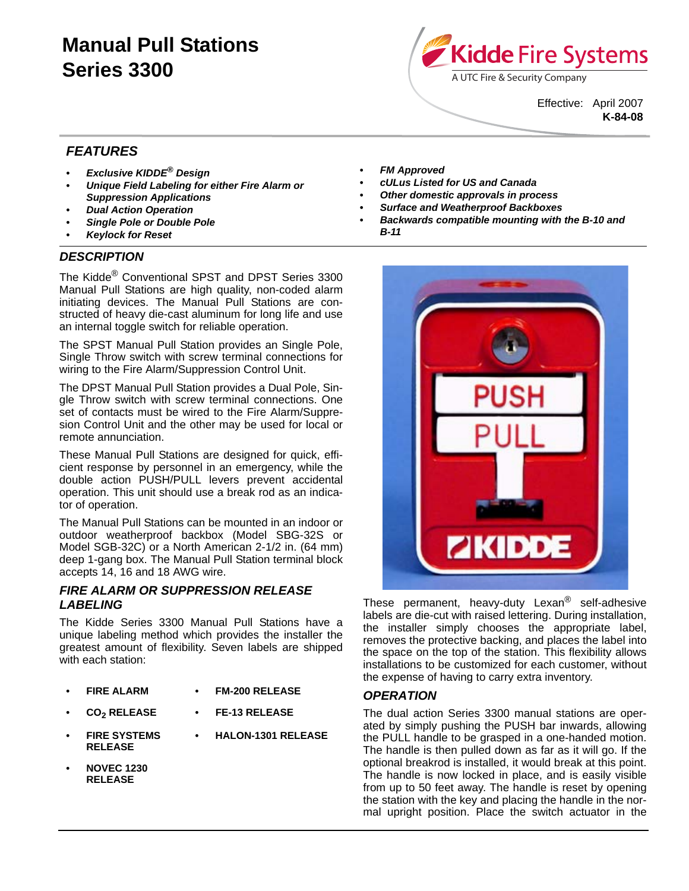# **Manual Pull Stations Series 3300**



Effective: April 2007 **K-84-08**

# *FEATURES*

- *Exclusive KIDDE® Design*
- *Unique Field Labeling for either Fire Alarm or Suppression Applications*
- *Dual Action Operation*
- *Single Pole or Double Pole*
- *Keylock for Reset*

# *DESCRIPTION*

The Kidde<sup>®</sup> Conventional SPST and DPST Series 3300 Manual Pull Stations are high quality, non-coded alarm initiating devices. The Manual Pull Stations are constructed of heavy die-cast aluminum for long life and use an internal toggle switch for reliable operation.

The SPST Manual Pull Station provides an Single Pole, Single Throw switch with screw terminal connections for wiring to the Fire Alarm/Suppression Control Unit.

The DPST Manual Pull Station provides a Dual Pole, Single Throw switch with screw terminal connections. One set of contacts must be wired to the Fire Alarm/Suppresion Control Unit and the other may be used for local or remote annunciation.

These Manual Pull Stations are designed for quick, efficient response by personnel in an emergency, while the double action PUSH/PULL levers prevent accidental operation. This unit should use a break rod as an indicator of operation.

The Manual Pull Stations can be mounted in an indoor or outdoor weatherproof backbox (Model SBG-32S or Model SGB-32C) or a North American 2-1/2 in. (64 mm) deep 1-gang box. The Manual Pull Station terminal block accepts 14, 16 and 18 AWG wire.

# *FIRE ALARM OR SUPPRESSION RELEASE LABELING*

The Kidde Series 3300 Manual Pull Stations have a unique labeling method which provides the installer the greatest amount of flexibility. Seven labels are shipped with each station:

- **FIRE ALARM FM-200 RELEASE**
- CO<sub>2</sub> RELEASE FE-13 RELEASE
- **FIRE SYSTEMS RELEASE • HALON-1301 RELEASE**
- **NOVEC 1230 RELEASE**
- **FM Approved**
- *cULus Listed for US and Canada*
- *Other domestic approvals in process*
- *Surface and Weatherproof Backboxes*
- *Backwards compatible mounting with the B-10 and B-11*



These permanent, heavy-duty Lexan® self-adhesive labels are die-cut with raised lettering. During installation, the installer simply chooses the appropriate label, removes the protective backing, and places the label into the space on the top of the station. This flexibility allows installations to be customized for each customer, without the expense of having to carry extra inventory.

## *OPERATION*

The dual action Series 3300 manual stations are operated by simply pushing the PUSH bar inwards, allowing the PULL handle to be grasped in a one-handed motion. The handle is then pulled down as far as it will go. If the optional breakrod is installed, it would break at this point. The handle is now locked in place, and is easily visible from up to 50 feet away. The handle is reset by opening the station with the key and placing the handle in the normal upright position. Place the switch actuator in the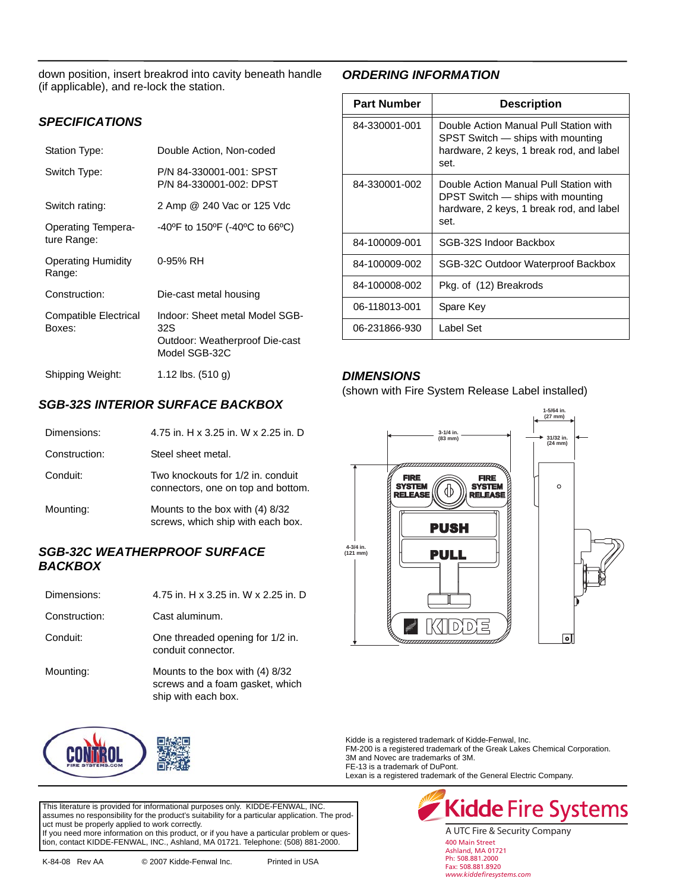down position, insert breakrod into cavity beneath handle (if applicable), and re-lock the station.

## *SPECIFICATIONS*

| Station Type:                            | Double Action, Non-coded                                                                 |
|------------------------------------------|------------------------------------------------------------------------------------------|
| Switch Type:                             | P/N 84-330001-001: SPST<br>P/N 84-330001-002: DPST                                       |
| Switch rating:                           | 2 Amp @ 240 Vac or 125 Vdc                                                               |
| <b>Operating Tempera-</b><br>ture Range: | $-40^{\circ}$ F to 150 $^{\circ}$ F ( $-40^{\circ}$ C to 66 $^{\circ}$ C)                |
| <b>Operating Humidity</b><br>Range:      | 0-95% RH                                                                                 |
| Construction:                            | Die-cast metal housing                                                                   |
| <b>Compatible Electrical</b><br>Boxes:   | Indoor: Sheet metal Model SGB-<br>32S<br>Outdoor: Weatherproof Die-cast<br>Model SGB-32C |
| Shipping Weight:                         | 1.12 lbs. (510 g)                                                                        |

# *SGB-32S INTERIOR SURFACE BACKBOX*

| Dimensions:   | 4.75 in. H x 3.25 in. W x 2.25 in. D                                    |
|---------------|-------------------------------------------------------------------------|
| Construction: | Steel sheet metal.                                                      |
| Conduit:      | Two knockouts for 1/2 in. conduit<br>connectors, one on top and bottom. |
| Mounting:     | Mounts to the box with (4) 8/32<br>screws, which ship with each box.    |

## *SGB-32C WEATHERPROOF SURFACE BACKBOX*

| Dimensions:   | 4.75 in. H x 3.25 in. W x 2.25 in. D                                                      |
|---------------|-------------------------------------------------------------------------------------------|
| Construction: | Cast aluminum.                                                                            |
| Conduit:      | One threaded opening for 1/2 in.<br>conduit connector.                                    |
| Mounting:     | Mounts to the box with (4) 8/32<br>screws and a foam gasket, which<br>ship with each box. |



# *ORDERING INFORMATION*

| <b>Part Number</b> | <b>Description</b>                                                                                                              |
|--------------------|---------------------------------------------------------------------------------------------------------------------------------|
| 84-330001-001      | Double Action Manual Pull Station with<br>SPST Switch — ships with mounting<br>hardware, 2 keys, 1 break rod, and label<br>set. |
| 84-330001-002      | Double Action Manual Pull Station with<br>DPST Switch — ships with mounting<br>hardware, 2 keys, 1 break rod, and label<br>set. |
| 84-100009-001      | SGB-32S Indoor Backbox                                                                                                          |
| 84-100009-002      | SGB-32C Outdoor Waterproof Backbox                                                                                              |
| 84-100008-002      | Pkg. of (12) Breakrods                                                                                                          |
| 06-118013-001      | Spare Key                                                                                                                       |
| 06-231866-930      | Label Set                                                                                                                       |

## *DIMENSIONS*

(shown with Fire System Release Label installed)



Kidde is a registered trademark of Kidde-Fenwal, Inc.

FM-200 is a registered trademark of the Greak Lakes Chemical Corporation. 3M and Novec are trademarks of 3M.

FE-13 is a trademark of DuPont.

Lexan is a registered trademark of the General Electric Company.

This literature is provided for informational purposes only. KIDDE-FENWAL, INC. assumes no responsibility for the product's suitability for a particular application. The product must be properly applied to work correctly. If you need more information on this product, or if you have a particular problem or question, contact KIDDE-FENWAL, INC., Ashland, MA 01721. Telephone: (508) 881-2000.



Ph: 508.881.2000 Fax: 508.881.8920 *www.kiddefiresystems.com*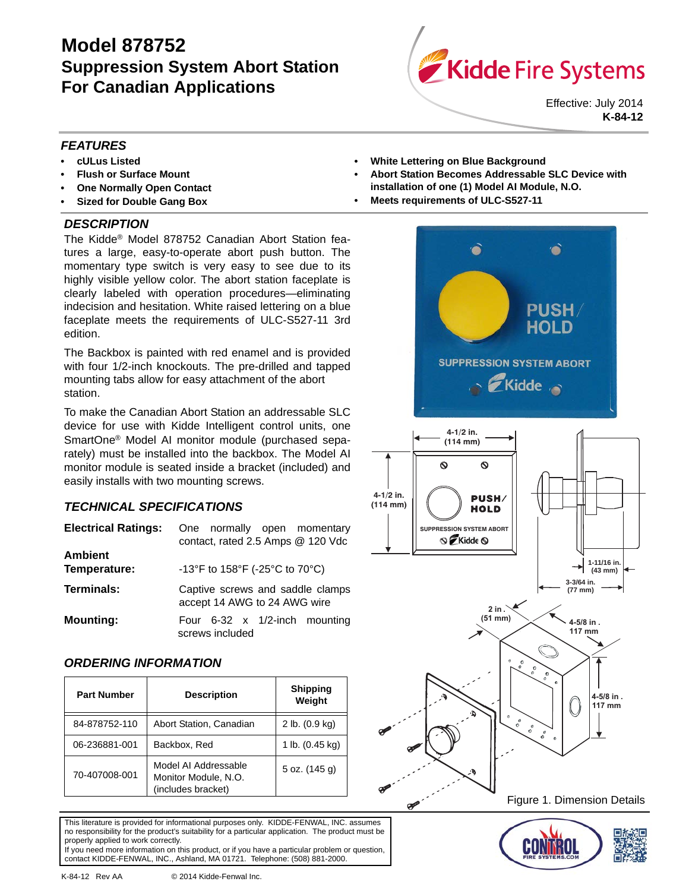# **Model 878752 Suppression System Abort Station For Canadian Applications**



Effective: July 2014 **K-84-12**

# *FEATURES*

- **cULus Listed**
- **Flush or Surface Mount**
- **One Normally Open Contact**
- **Sized for Double Gang Box**

# *DESCRIPTION*

The Kidde® Model 878752 Canadian Abort Station features a large, easy-to-operate abort push button. The momentary type switch is very easy to see due to its highly visible yellow color. The abort station faceplate is clearly labeled with operation procedures—eliminating indecision and hesitation. White raised lettering on a blue faceplate meets the requirements of ULC-S527-11 3rd edition.

The Backbox is painted with red enamel and is provided with four 1/2-inch knockouts. The pre-drilled and tapped mounting tabs allow for easy attachment of the abort station.

To make the Canadian Abort Station an addressable SLC device for use with Kidde Intelligent control units, one SmartOne® Model AI monitor module (purchased separately) must be installed into the backbox. The Model AI monitor module is seated inside a bracket (included) and easily installs with two mounting screws.

# *TECHNICAL SPECIFICATIONS*

| <b>Electrical Ratings:</b>     | One normally open momentary<br>contact, rated 2.5 Amps @ 120 Vdc |
|--------------------------------|------------------------------------------------------------------|
| <b>Ambient</b><br>Temperature: | -13°F to 158°F (-25°C to 70°C)                                   |
| <b>Terminals:</b>              | Captive screws and saddle clamps<br>accept 14 AWG to 24 AWG wire |
| <b>Mounting:</b>               | Four $6-32 \times 1/2$ -inch mounting<br>screws included         |

# *ORDERING INFORMATION*

| <b>Part Number</b> | <b>Description</b>                                                 | <b>Shipping</b><br>Weight |
|--------------------|--------------------------------------------------------------------|---------------------------|
| 84-878752-110      | Abort Station, Canadian                                            | 2 lb. (0.9 kg)            |
| 06-236881-001      | Backbox, Red                                                       | 1 lb. (0.45 kg)           |
| 70-407008-001      | Model AI Addressable<br>Monitor Module, N.O.<br>(includes bracket) | 5 oz. (145 g)             |

This literature is provided for informational purposes only. KIDDE-FENWAL, INC. assumes no responsibility for the product's suitability for a particular application. The product must be properly applied to work correctly. If you need more information on this product, or if you have a particular problem or question,

contact KIDDE-FENWAL, INC., Ashland, MA 01721. Telephone: (508) 881-2000.

K-84-12 Rev AA © 2014 Kidde-Fenwal Inc.

- **White Lettering on Blue Background**
- **Abort Station Becomes Addressable SLC Device with installation of one (1) Model AI Module, N.O.**
- **Meets requirements of ULC-S527-11**

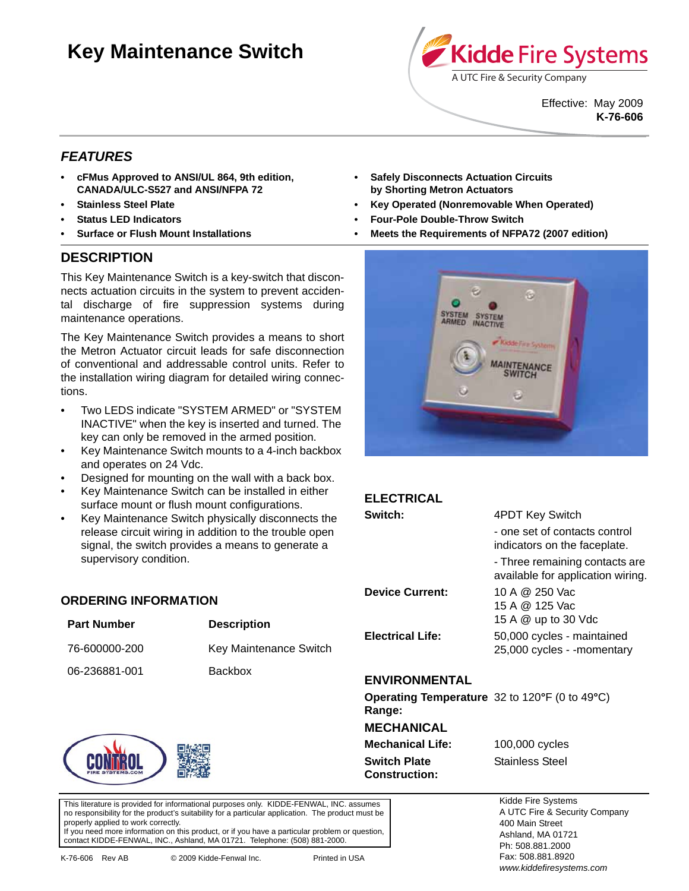# **Key Maintenance Switch**



Effective: May 2009 **K-76-606**

# *FEATURES*

- **cFMus Approved to ANSI/UL 864, 9th edition, CANADA/ULC-S527 and ANSI/NFPA 72**
- **Stainless Steel Plate**
- **Status LED Indicators**
- **Surface or Flush Mount Installations**

# **DESCRIPTION**

This Key Maintenance Switch is a key-switch that disconnects actuation circuits in the system to prevent accidental discharge of fire suppression systems during maintenance operations.

The Key Maintenance Switch provides a means to short the Metron Actuator circuit leads for safe disconnection of conventional and addressable control units. Refer to the installation wiring diagram for detailed wiring connections.

- Two LEDS indicate "SYSTEM ARMED" or "SYSTEM INACTIVE" when the key is inserted and turned. The key can only be removed in the armed position.
- Key Maintenance Switch mounts to a 4-inch backbox and operates on 24 Vdc.
- Designed for mounting on the wall with a back box.
- Key Maintenance Switch can be installed in either surface mount or flush mount configurations.
- Key Maintenance Switch physically disconnects the release circuit wiring in addition to the trouble open signal, the switch provides a means to generate a supervisory condition.

76-600000-200 Key Maintenance Switch

**ORDERING INFORMATION**

**Part Number Description** 

06-236881-001 Backbox

#### **• Safely Disconnects Actuation Circuits by Shorting Metron Actuators**

- **Key Operated (Nonremovable When Operated)**
- **Four-Pole Double-Throw Switch**
- **Meets the Requirements of NFPA72 (2007 edition)**



| <b>ELECTRICAL</b>                                              |                                                                     |  |
|----------------------------------------------------------------|---------------------------------------------------------------------|--|
| Switch:                                                        | 4PDT Key Switch                                                     |  |
|                                                                | - one set of contacts control<br>indicators on the faceplate.       |  |
|                                                                | - Three remaining contacts are<br>available for application wiring. |  |
| <b>Device Current:</b>                                         | 10 A @ 250 Vac                                                      |  |
|                                                                | 15 A @ 125 Vac                                                      |  |
|                                                                | 15 A @ up to 30 Vdc                                                 |  |
| <b>Electrical Life:</b>                                        | 50,000 cycles - maintained                                          |  |
|                                                                | 25,000 cycles - -momentary                                          |  |
| ENVIRONMENTAL                                                  |                                                                     |  |
| <b>Operating Temperature</b> 32 to 120°F (0 to 49°C)<br>Range: |                                                                     |  |
|                                                                |                                                                     |  |

**MECHANICAL Mechanical Life:** 100,000 cycles **Switch Plate Stainless Steel Construction:**

This literature is provided for informational purposes only. KIDDE-FENWAL, INC. assumes no responsibility for the product's suitability for a particular application. The product must be

properly applied to work correctly. If you need more information on this product, or if you have a particular problem or question, contact KIDDE-FENWAL, INC., Ashland, MA 01721. Telephone: (508) 881-2000.

Kidde Fire Systems A UTC Fire & Security Company 400 Main Street Ashland, MA 01721 Ph: 508.881.2000 Fax: 508.881.8920 *www.kiddefiresystems.com*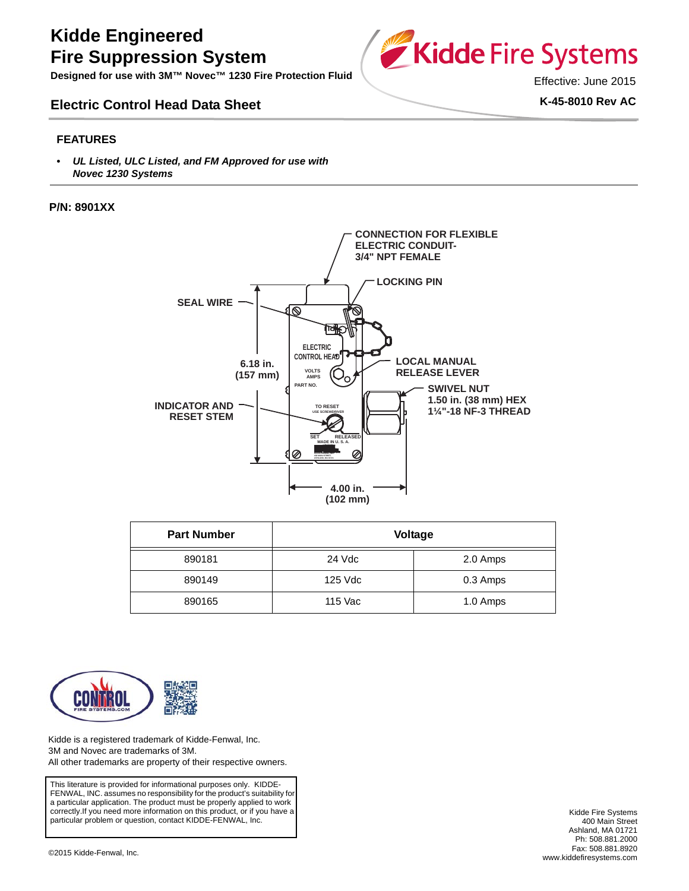# **Kidde Engineered Fire Suppression System**

**Designed for use with 3M™ Novec™ 1230 Fire Protection Fluid**

# **Electric Control Head Data Sheet**



Effective: June 2015

**K-45-8010 Rev AC**

### **FEATURES**

*• UL Listed, ULC Listed, and FM Approved for use with Novec 1230 Systems*

#### **P/N: 8901XX**



| <b>Part Number</b> | Voltage |          |
|--------------------|---------|----------|
| 890181             | 24 Vdc  | 2.0 Amps |
| 890149             | 125 Vdc | 0.3 Amps |
| 890165             | 115 Vac | 1.0 Amps |



Kidde is a registered trademark of Kidde-Fenwal, Inc. 3M and Novec are trademarks of 3M. All other trademarks are property of their respective owners.

This literature is provided for informational purposes only. KIDDE-FENWAL, INC. assumes no responsibility for the product's suitability for a particular application. The product must be properly applied to work correctly.If you need more information on this product, or if you have a particular problem or question, contact KIDDE-FENWAL, Inc.

Kidde Fire Systems 400 Main Street Ashland, MA 01721 Ph: 508.881.2000 Fax: 508.881.8920 [www.kiddefiresystems.com](http://www.kiddefiresystems.com) ©2015 Kidde-Fenwal, Inc.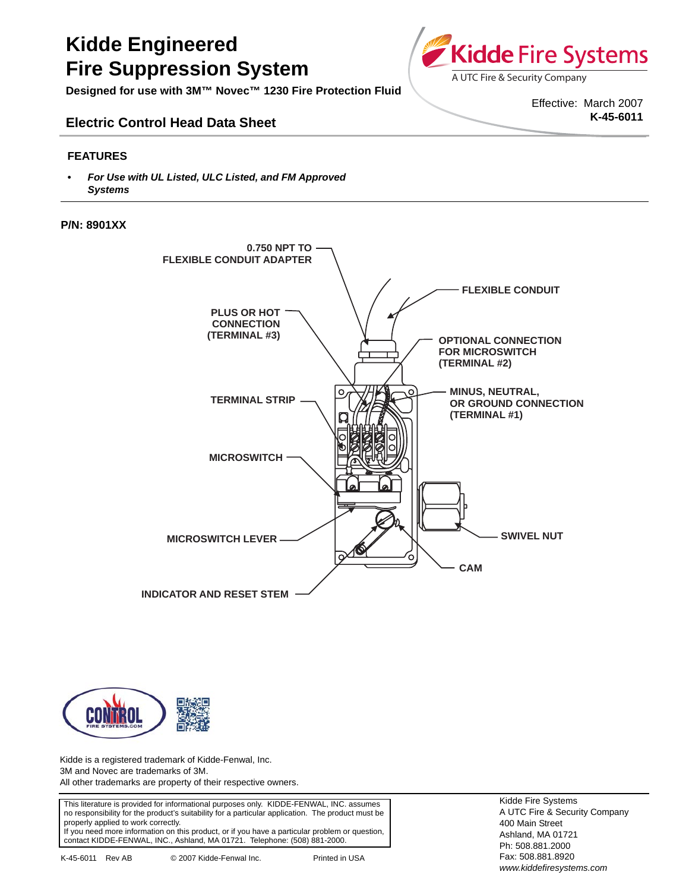# **Kidde Engineered Fire Suppression System**

**Designed for use with 3M™ Novec™ 1230 Fire Protection Fluid**

# **Electric Control Head Data Sheet**

### **FEATURES**

*• For Use with UL Listed, ULC Listed, and FM Approved Systems*

#### **P/N: 8901XX**





Kidde is a registered trademark of Kidde-Fenwal, Inc. 3M and Novec are trademarks of 3M. All other trademarks are property of their respective owners.

This literature is provided for informational purposes only. KIDDE-FENWAL, INC. assumes no responsibility for the product's suitability for a particular application. The product must be properly applied to work correctly. If you need more information on this product, or if you have a particular problem or question, contact KIDDE-FENWAL, INC., Ashland, MA 01721. Telephone: (508) 881-2000.



Effective: March 2007 **K-45-6011**

Kidde Fire Systems A UTC Fire & Security Company 400 Main Street Ashland, MA 01721 Ph: 508.881.2000 Fax: 508.881.8920 *www.kiddefiresystems.com*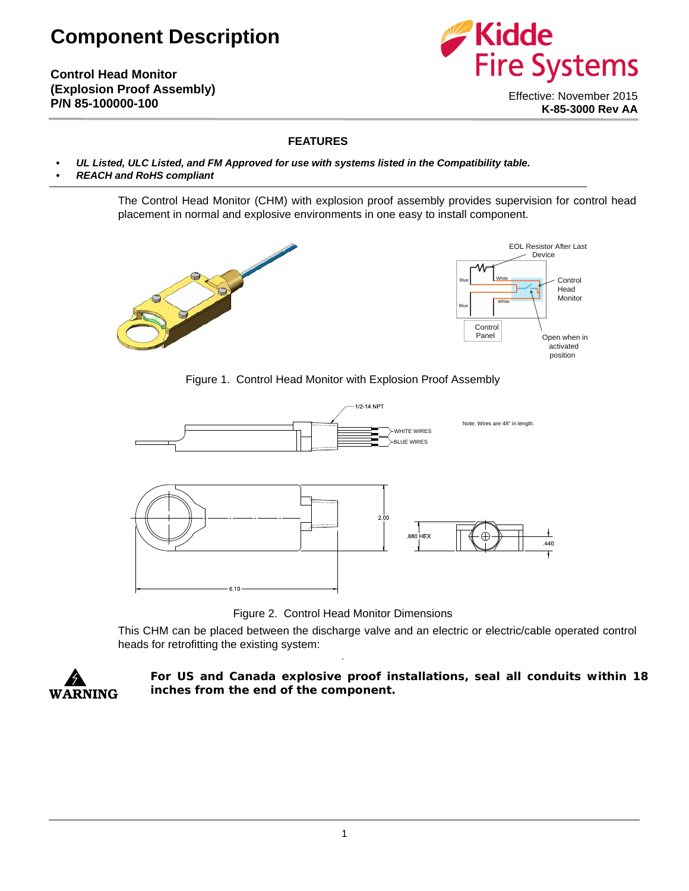# **Component Description**

**Control Head Monitor (Explosion Proof Assembly) P/N 85-100000-100**



Effective: November 2015 **K-85-3000 Rev AA**

## **FEATURES**

- *UL Listed, ULC Listed, and FM Approved for use with systems listed in the Compatibility table.*
- *REACH and RoHS compliant*

The Control Head Monitor (CHM) with explosion proof assembly provides supervision for control head placement in normal and explosive environments in one easy to install component.





Control Head Monitor

### Figure 1. Control Head Monitor with Explosion Proof Assembly



Figure 2. Control Head Monitor Dimensions

**1**

This CHM can be placed between the discharge valve and an electric or electric/cable operated control heads for retrofitting the existing system:



**For US and Canada explosive proof installations, seal all conduits within 18 inches from the end of the component.**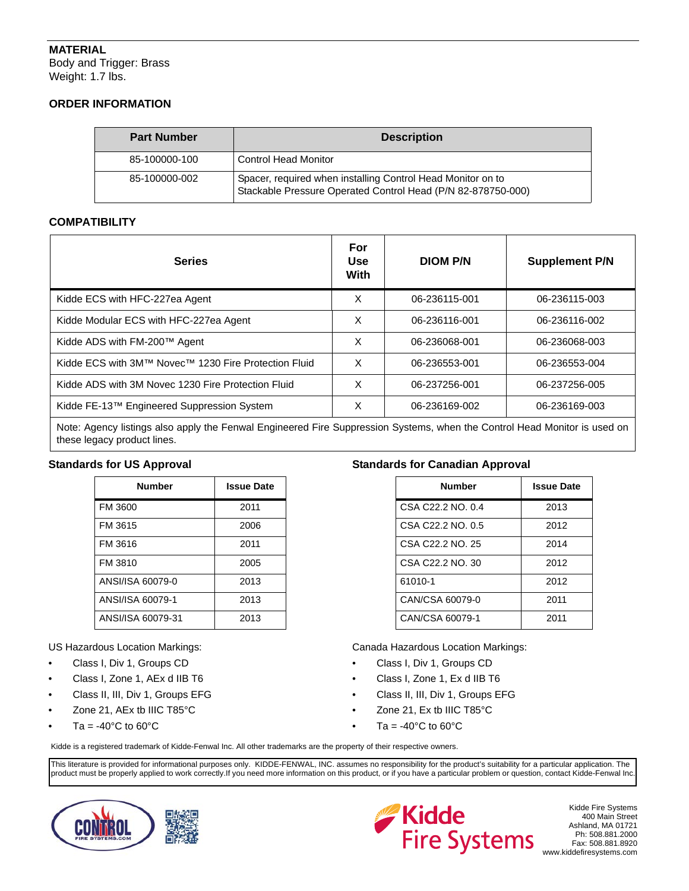# **MATERIAL**

Body and Trigger: Brass Weight: 1.7 lbs.

## **ORDER INFORMATION**

| <b>Part Number</b> | <b>Description</b>                                                                                                          |
|--------------------|-----------------------------------------------------------------------------------------------------------------------------|
| 85-100000-100      | <b>Control Head Monitor</b>                                                                                                 |
| 85-100000-002      | Spacer, required when installing Control Head Monitor on to<br>Stackable Pressure Operated Control Head (P/N 82-878750-000) |

## **COMPATIBILITY**

| <b>Series</b>                                        | For<br><b>Use</b><br>With | <b>DIOM P/N</b> | <b>Supplement P/N</b> |
|------------------------------------------------------|---------------------------|-----------------|-----------------------|
| Kidde ECS with HFC-227ea Agent                       | X                         | 06-236115-001   | 06-236115-003         |
| Kidde Modular ECS with HFC-227ea Agent               | X                         | 06-236116-001   | 06-236116-002         |
| Kidde ADS with FM-200™ Agent                         | X                         | 06-236068-001   | 06-236068-003         |
| Kidde ECS with 3M™ Novec™ 1230 Fire Protection Fluid | X                         | 06-236553-001   | 06-236553-004         |
| Kidde ADS with 3M Novec 1230 Fire Protection Fluid   | X                         | 06-237256-001   | 06-237256-005         |
| Kidde FE-13™ Engineered Suppression System           | X                         | 06-236169-002   | 06-236169-003         |
| NIA PERINTIPERINT AND ALL ARTICLES                   |                           |                 |                       |

Note: Agency listings also apply the Fenwal Engineered Fire Suppression Systems, when the Control Head Monitor is used on these legacy product lines.

## **Standards for US Approval**

| <b>Number</b>     | <b>Issue Date</b> |
|-------------------|-------------------|
| FM 3600           | 2011              |
| FM 3615           | 2006              |
| FM 3616           | 2011              |
| FM 3810           | 2005              |
| ANSI/ISA 60079-0  | 2013              |
| ANSI/ISA 60079-1  | 2013              |
| ANSI/ISA 60079-31 | 2013              |

US Hazardous Location Markings:

- Class I, Div 1, Groups CD
- Class I, Zone 1, AEx d IIB T6
- Class II, III, Div 1, Groups EFG
- Zone 21, AEx tb IIIC T85°C
- Ta =  $-40^{\circ}$ C to 60 $^{\circ}$ C

## **Standards for Canadian Approval**

| <b>Number</b>     | <b>Issue Date</b> |
|-------------------|-------------------|
| CSA C22.2 NO. 0.4 | 2013              |
| CSA C22.2 NO. 0.5 | 2012              |
| CSA C22.2 NO. 25  | 2014              |
| CSA C22.2 NO. 30  | 2012              |
| 61010-1           | 2012              |
| CAN/CSA 60079-0   | 2011              |
| CAN/CSA 60079-1   | 2011              |

Canada Hazardous Location Markings:

- Class I, Div 1, Groups CD
- Class I, Zone 1, Ex d IIB T6
- Class II, III, Div 1, Groups EFG
- Zone 21, Ex tb IIIC T85°C
- Ta =  $-40^{\circ}$ C to 60 $^{\circ}$ C

Kidde is a registered trademark of Kidde-Fenwal Inc. All other trademarks are the property of their respective owners.

This literature is provided for informational purposes only. KIDDE-FENWAL, INC. assumes no responsibility for the product's suitability for a particular application. The product must be properly applied to work correctly.If you need more information on this product, or if you have a particular problem or question, contact Kidde-Fenwal Inc.